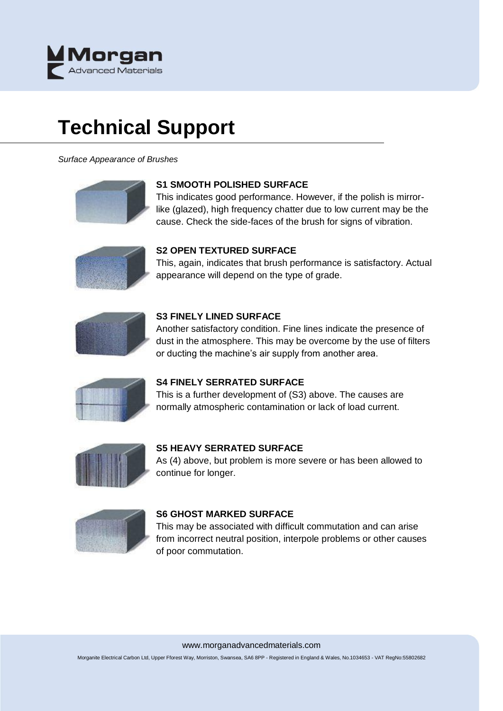

# **Technical Support**

*Surface Appearance of Brushes*



## **S1 SMOOTH POLISHED SURFACE**

This indicates good performance. However, if the polish is mirrorlike (glazed), high frequency chatter due to low current may be the cause. Check the side-faces of the brush for signs of vibration.



# **S2 OPEN TEXTURED SURFACE**

This, again, indicates that brush performance is satisfactory. Actual appearance will depend on the type of grade.



## **S3 FINELY LINED SURFACE**

Another satisfactory condition. Fine lines indicate the presence of dust in the atmosphere. This may be overcome by the use of filters or ducting the machine's air supply from another area.



## **S4 FINELY SERRATED SURFACE**

This is a further development of (S3) above. The causes are normally atmospheric contamination or lack of load current.



## **S5 HEAVY SERRATED SURFACE**

As (4) above, but problem is more severe or has been allowed to continue for longer.



## **S6 GHOST MARKED SURFACE**

This may be associated with difficult commutation and can arise from incorrect neutral position, interpole problems or other causes of poor commutation.

#### www.morganadvancedmaterials.com

Morganite Electrical Carbon Ltd, Upper Fforest Way, Morriston, Swansea, SA6 8PP - Registered in England & Wales, No.1034653 - VAT RegNo:55802682